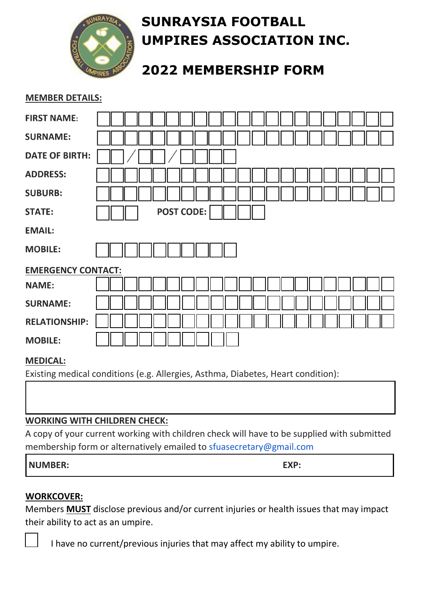

# **SUNRAYSIA FOOTBALL UMPIRES ASSOCIATION INC.**

## **2022 MEMBERSHIP FORM**

### **MEMBER DETAILS:**

| <b>FIRST NAME:</b>        |                   |
|---------------------------|-------------------|
| <b>SURNAME:</b>           |                   |
| <b>DATE OF BIRTH:</b>     |                   |
| <b>ADDRESS:</b>           |                   |
| <b>SUBURB:</b>            |                   |
| <b>STATE:</b>             | <b>POST CODE:</b> |
| <b>EMAIL:</b>             |                   |
| <b>MOBILE:</b>            |                   |
| <b>EMERGENCY CONTACT:</b> |                   |
| <b>NAME:</b>              |                   |
| <b>SURNAME:</b>           |                   |
| <b>RELATIONSHIP:</b>      |                   |
|                           |                   |

#### **MEDICAL:**

Existing medical conditions (e.g. Allergies, Asthma, Diabetes, Heart condition):

## **WORKING WITH CHILDREN CHECK:**

A copy of your current working with children check will have to be supplied with submitted membership form or alternatively emailed to sfuasecretary@gmail.com

| <b>NUMBER:</b> | EXP: |
|----------------|------|
|----------------|------|

## **WORKCOVER:**

Members **MUST** disclose previous and/or current injuries or health issues that may impact their ability to act as an umpire.

I have no current/previous injuries that may affect my ability to umpire.